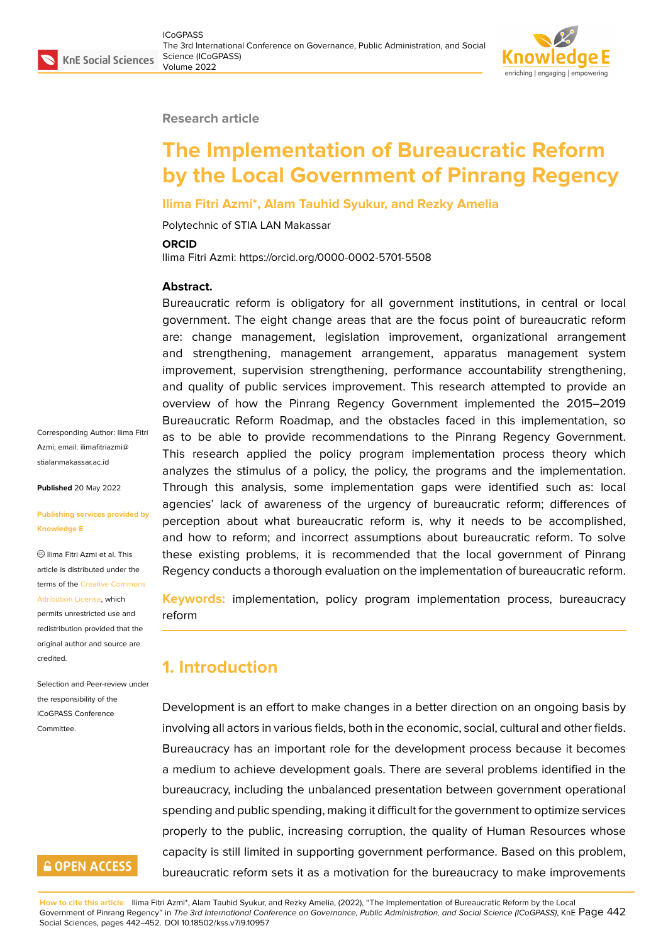#### **Research article**

# **The Implementation of Bureaucratic Reform by the Local Government of Pinrang Regency**

### **Ilima Fitri Azmi\*, Alam Tauhid Syukur, and Rezky Amelia**

Polytechnic of STIA LAN Makassar

#### **ORCID**

Ilima Fitri Azmi: https://orcid.org/0000-0002-5701-5508

#### **Abstract.**

Bureaucratic reform is obligatory for all government institutions, in central or local government. The eight change areas that are the focus point of bureaucratic reform are: change management, legislation improvement, organizational arrangement and strengthening, management arrangement, apparatus management system improvement, supervision strengthening, performance accountability strengthening, and quality of public services improvement. This research attempted to provide an overview of how the Pinrang Regency Government implemented the 2015–2019 Bureaucratic Reform Roadmap, and the obstacles faced in this implementation, so as to be able to provide recommendations to the Pinrang Regency Government. This research applied the policy program implementation process theory which analyzes the stimulus of a policy, the policy, the programs and the implementation. Through this analysis, some implementation gaps were identified such as: local agencies' lack of awareness of the urgency of bureaucratic reform; differences of perception about what bureaucratic reform is, why it needs to be accomplished, and how to reform; and incorrect assumptions about bureaucratic reform. To solve these existing problems, it is recommended that the local government of Pinrang Regency conducts a thorough evaluation on the implementation of bureaucratic reform.

**Keywords:** implementation, policy program implementation process, bureaucracy reform

### **1. Introduction**

Development is an effort to make changes in a better direction on an ongoing basis by involving all actors in various fields, both in the economic, social, cultural and other fields. Bureaucracy has an important role for the development process because it becomes a medium to achieve development goals. There are several problems identified in the bureaucracy, including the unbalanced presentation between government operational spending and public spending, making it difficult for the government to optimize services properly to the public, increasing corruption, the quality of Human Resources whose capacity is still limited in supporting government performance. Based on this problem, bureaucratic reform sets it as a motivation for the bureaucracy to make improvements

**How to cite this article**: Ilima Fitri Azmi\*, Alam Tauhid Syukur, and Rezky Amelia, (2022), "The Implementation of Bureaucratic Reform by the Local Government of Pinrang Regency" in *The 3rd International Conference on Governance, Public Administration, and Social Science (ICoGPASS)*, KnE Page 442 Social Sciences, pages 442–452. DOI 10.18502/kss.v7i9.10957

Corresponding Author: Ilima Fitri Azmi; email: ilimafitriazmi@ stialanmakassar.ac.id

**Published** 20 May 2022

#### **[Publishing services p](mailto:ilimafitriazmi@stialanmakassar.ac.id)rovided by Knowledge E**

 $\circledcirc$  Ilima Fitri Azmi et al. This article is distributed under the terms of the Creative Commons Attribution License, which

permits unrestricted use and redistribution provided that the original auth[or and source are](https://creativecommons.org/licenses/by/4.0/) [credited.](https://creativecommons.org/licenses/by/4.0/)

Selection and Peer-review under the responsibility of the ICoGPASS Conference Committee.

### **GOPEN ACCESS**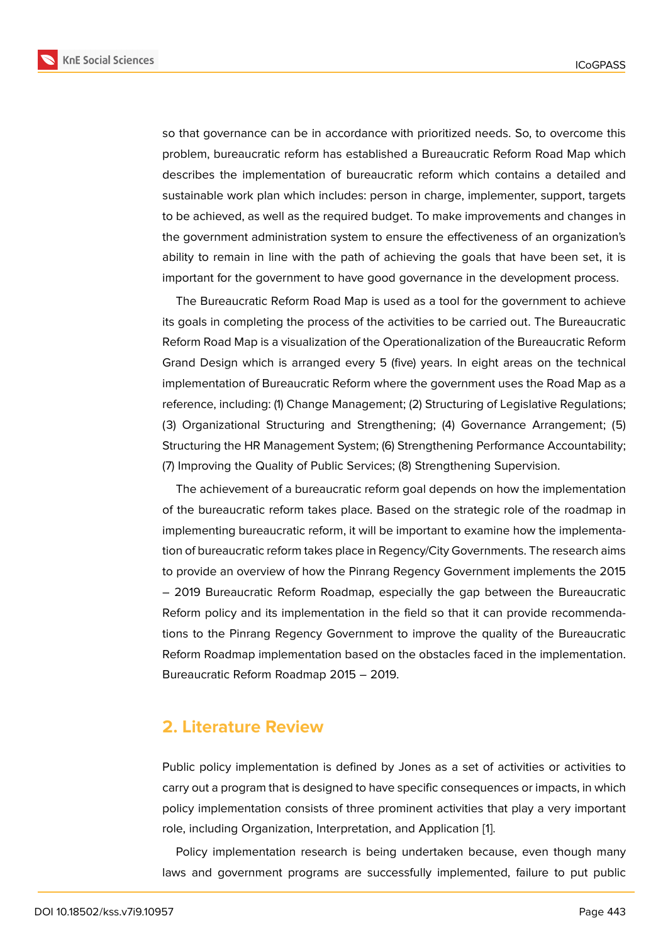so that governance can be in accordance with prioritized needs. So, to overcome this problem, bureaucratic reform has established a Bureaucratic Reform Road Map which describes the implementation of bureaucratic reform which contains a detailed and sustainable work plan which includes: person in charge, implementer, support, targets to be achieved, as well as the required budget. To make improvements and changes in the government administration system to ensure the effectiveness of an organization's ability to remain in line with the path of achieving the goals that have been set, it is important for the government to have good governance in the development process.

The Bureaucratic Reform Road Map is used as a tool for the government to achieve its goals in completing the process of the activities to be carried out. The Bureaucratic Reform Road Map is a visualization of the Operationalization of the Bureaucratic Reform Grand Design which is arranged every 5 (five) years. In eight areas on the technical implementation of Bureaucratic Reform where the government uses the Road Map as a reference, including: (1) Change Management; (2) Structuring of Legislative Regulations; (3) Organizational Structuring and Strengthening; (4) Governance Arrangement; (5) Structuring the HR Management System; (6) Strengthening Performance Accountability; (7) Improving the Quality of Public Services; (8) Strengthening Supervision.

The achievement of a bureaucratic reform goal depends on how the implementation of the bureaucratic reform takes place. Based on the strategic role of the roadmap in implementing bureaucratic reform, it will be important to examine how the implementation of bureaucratic reform takes place in Regency/City Governments. The research aims to provide an overview of how the Pinrang Regency Government implements the 2015 – 2019 Bureaucratic Reform Roadmap, especially the gap between the Bureaucratic Reform policy and its implementation in the field so that it can provide recommendations to the Pinrang Regency Government to improve the quality of the Bureaucratic Reform Roadmap implementation based on the obstacles faced in the implementation. Bureaucratic Reform Roadmap 2015 – 2019.

### **2. Literature Review**

Public policy implementation is defined by Jones as a set of activities or activities to carry out a program that is designed to have specific consequences or impacts, in which policy implementation consists of three prominent activities that play a very important role, including Organization, Interpretation, and Application [1].

Policy implementation research is being undertaken because, even though many laws and government programs are successfully impleme[n](#page-10-0)ted, failure to put public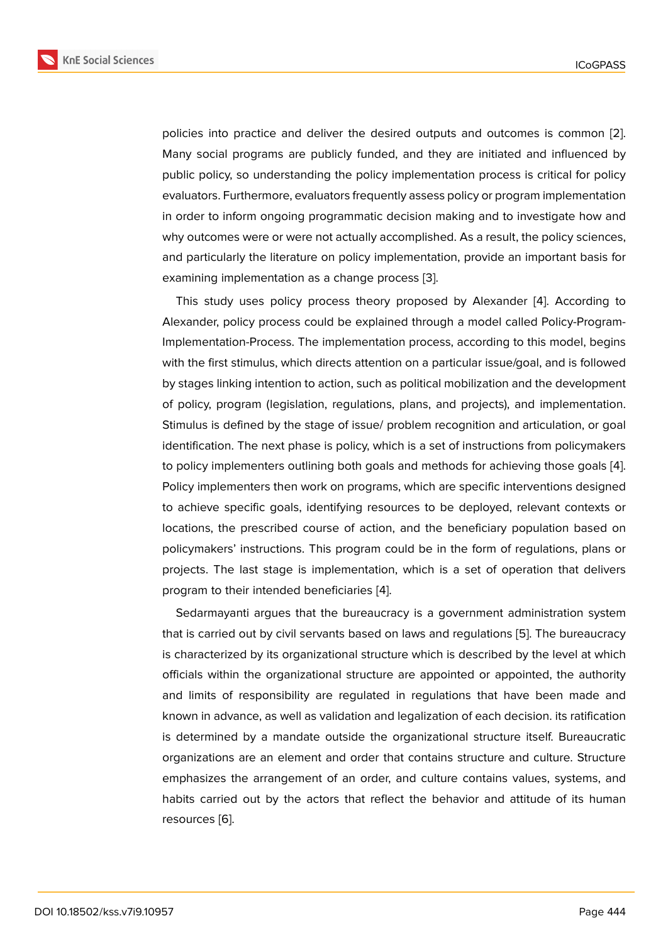policies into practice and deliver the desired outputs and outcomes is common [2]. Many social programs are publicly funded, and they are initiated and influenced by public policy, so understanding the policy implementation process is critical for policy evaluators. Furthermore, evaluators frequently assess policy or program implementati[on](#page-10-1) in order to inform ongoing programmatic decision making and to investigate how and why outcomes were or were not actually accomplished. As a result, the policy sciences, and particularly the literature on policy implementation, provide an important basis for examining implementation as a change process [3].

This study uses policy process theory proposed by Alexander [4]. According to Alexander, policy process could be explained through a model called Policy-Program-Implementation-Process. The implementation pr[oce](#page-10-2)ss, according to this model, begins with the first stimulus, which directs attention on a particular issue/goa[l,](#page-10-3) and is followed by stages linking intention to action, such as political mobilization and the development of policy, program (legislation, regulations, plans, and projects), and implementation. Stimulus is defined by the stage of issue/ problem recognition and articulation, or goal identification. The next phase is policy, which is a set of instructions from policymakers to policy implementers outlining both goals and methods for achieving those goals [4]. Policy implementers then work on programs, which are specific interventions designed to achieve specific goals, identifying resources to be deployed, relevant contexts or locations, the prescribed course of action, and the beneficiary population based [on](#page-10-3) policymakers' instructions. This program could be in the form of regulations, plans or projects. The last stage is implementation, which is a set of operation that delivers program to their intended beneficiaries [4].

Sedarmayanti argues that the bureaucracy is a government administration system that is carried out by civil servants based on laws and regulations [5]. The bureaucracy is characterized by its organizational str[uc](#page-10-3)ture which is described by the level at which officials within the organizational structure are appointed or appointed, the authority and limits of responsibility are regulated in regulations that ha[ve](#page-10-4) been made and known in advance, as well as validation and legalization of each decision. its ratification is determined by a mandate outside the organizational structure itself. Bureaucratic organizations are an element and order that contains structure and culture. Structure emphasizes the arrangement of an order, and culture contains values, systems, and habits carried out by the actors that reflect the behavior and attitude of its human resources [6].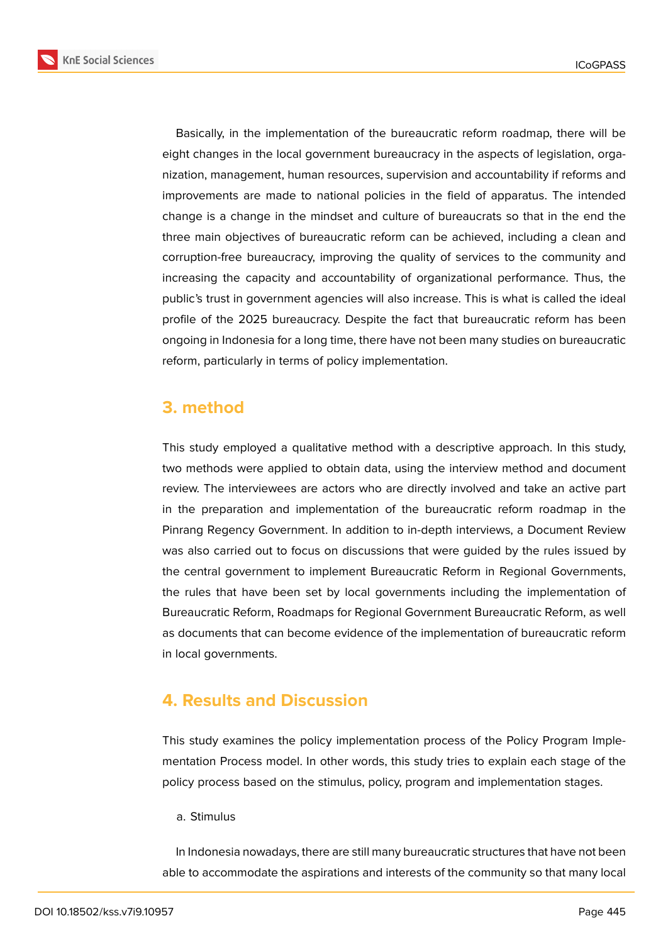**KnE Social Sciences** 



Basically, in the implementation of the bureaucratic reform roadmap, there will be eight changes in the local government bureaucracy in the aspects of legislation, organization, management, human resources, supervision and accountability if reforms and improvements are made to national policies in the field of apparatus. The intended change is a change in the mindset and culture of bureaucrats so that in the end the three main objectives of bureaucratic reform can be achieved, including a clean and corruption-free bureaucracy, improving the quality of services to the community and increasing the capacity and accountability of organizational performance. Thus, the public's trust in government agencies will also increase. This is what is called the ideal profile of the 2025 bureaucracy. Despite the fact that bureaucratic reform has been ongoing in Indonesia for a long time, there have not been many studies on bureaucratic reform, particularly in terms of policy implementation.

### **3. method**

This study employed a qualitative method with a descriptive approach. In this study, two methods were applied to obtain data, using the interview method and document review. The interviewees are actors who are directly involved and take an active part in the preparation and implementation of the bureaucratic reform roadmap in the Pinrang Regency Government. In addition to in-depth interviews, a Document Review was also carried out to focus on discussions that were guided by the rules issued by the central government to implement Bureaucratic Reform in Regional Governments, the rules that have been set by local governments including the implementation of Bureaucratic Reform, Roadmaps for Regional Government Bureaucratic Reform, as well as documents that can become evidence of the implementation of bureaucratic reform in local governments.

### **4. Results and Discussion**

This study examines the policy implementation process of the Policy Program Implementation Process model. In other words, this study tries to explain each stage of the policy process based on the stimulus, policy, program and implementation stages.

### a. Stimulus

In Indonesia nowadays, there are still many bureaucratic structures that have not been able to accommodate the aspirations and interests of the community so that many local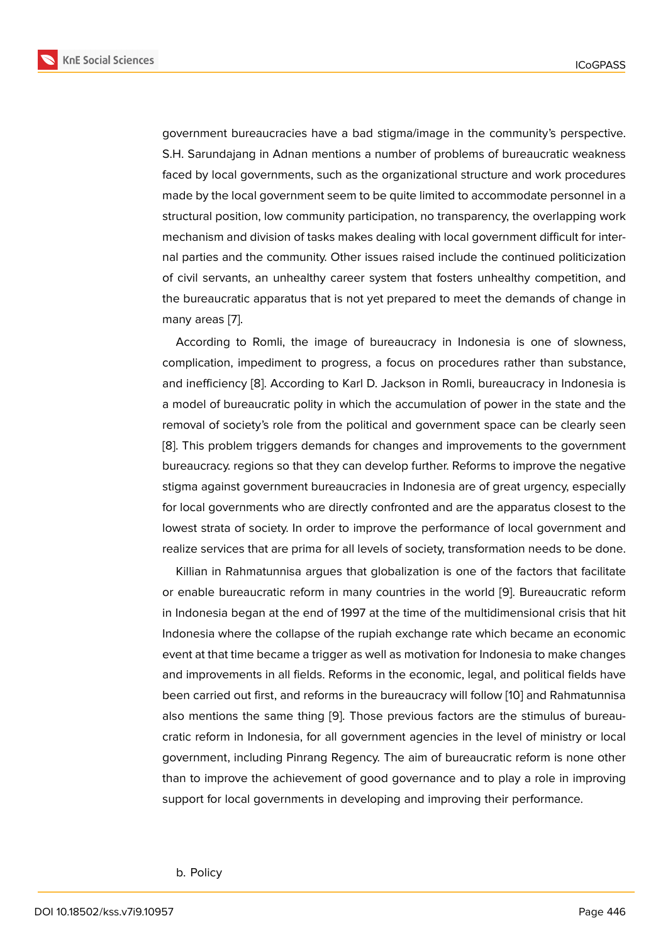government bureaucracies have a bad stigma/image in the community's perspective. S.H. Sarundajang in Adnan mentions a number of problems of bureaucratic weakness faced by local governments, such as the organizational structure and work procedures made by the local government seem to be quite limited to accommodate personnel in a structural position, low community participation, no transparency, the overlapping work mechanism and division of tasks makes dealing with local government difficult for internal parties and the community. Other issues raised include the continued politicization of civil servants, an unhealthy career system that fosters unhealthy competition, and the bureaucratic apparatus that is not yet prepared to meet the demands of change in many areas [7].

According to Romli, the image of bureaucracy in Indonesia is one of slowness, complication, impediment to progress, a focus on procedures rather than substance, and inefficie[nc](#page-10-5)y [8]. According to Karl D. Jackson in Romli, bureaucracy in Indonesia is a model of bureaucratic polity in which the accumulation of power in the state and the removal of society's role from the political and government space can be clearly seen [8]. This problem [tr](#page-10-6)iggers demands for changes and improvements to the government bureaucracy. regions so that they can develop further. Reforms to improve the negative stigma against government bureaucracies in Indonesia are of great urgency, especially [fo](#page-10-6)r local governments who are directly confronted and are the apparatus closest to the lowest strata of society. In order to improve the performance of local government and realize services that are prima for all levels of society, transformation needs to be done.

Killian in Rahmatunnisa argues that globalization is one of the factors that facilitate or enable bureaucratic reform in many countries in the world [9]. Bureaucratic reform in Indonesia began at the end of 1997 at the time of the multidimensional crisis that hit Indonesia where the collapse of the rupiah exchange rate which became an economic event at that time became a trigger as well as motivation for Ind[on](#page-10-7)esia to make changes and improvements in all fields. Reforms in the economic, legal, and political fields have been carried out first, and reforms in the bureaucracy will follow [10] and Rahmatunnisa also mentions the same thing [9]. Those previous factors are the stimulus of bureaucratic reform in Indonesia, for all government agencies in the level of ministry or local government, including Pinrang Regency. The aim of bureaucrati[c re](#page-10-8)form is none other than to improve the achieveme[nt](#page-10-7) of good governance and to play a role in improving support for local governments in developing and improving their performance.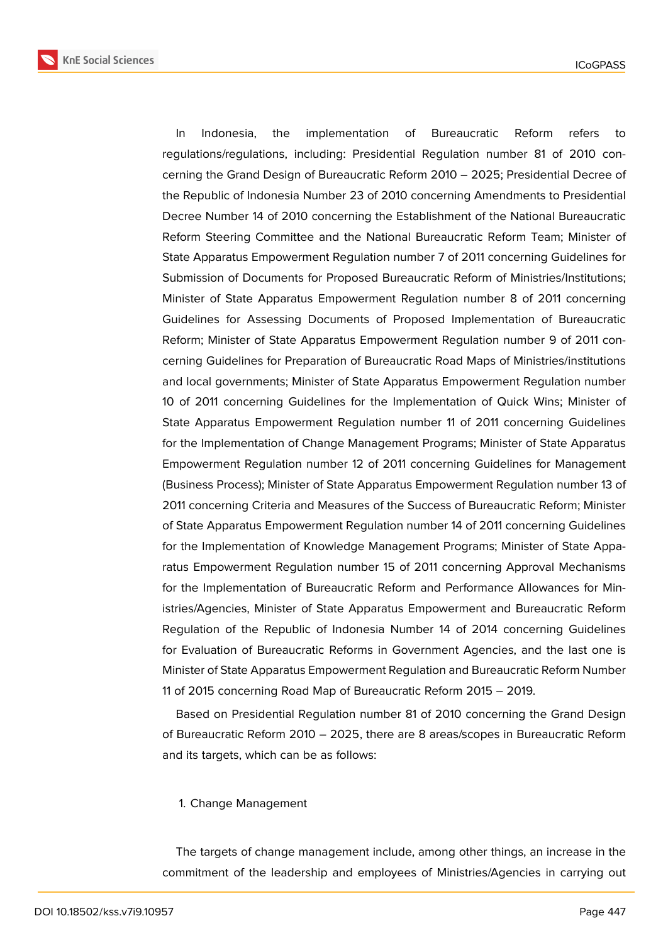**KnE Social Sciences** 

In Indonesia, the implementation of Bureaucratic Reform refers to regulations/regulations, including: Presidential Regulation number 81 of 2010 concerning the Grand Design of Bureaucratic Reform 2010 – 2025; Presidential Decree of the Republic of Indonesia Number 23 of 2010 concerning Amendments to Presidential Decree Number 14 of 2010 concerning the Establishment of the National Bureaucratic Reform Steering Committee and the National Bureaucratic Reform Team; Minister of State Apparatus Empowerment Regulation number 7 of 2011 concerning Guidelines for Submission of Documents for Proposed Bureaucratic Reform of Ministries/Institutions; Minister of State Apparatus Empowerment Regulation number 8 of 2011 concerning Guidelines for Assessing Documents of Proposed Implementation of Bureaucratic Reform; Minister of State Apparatus Empowerment Regulation number 9 of 2011 concerning Guidelines for Preparation of Bureaucratic Road Maps of Ministries/institutions and local governments; Minister of State Apparatus Empowerment Regulation number 10 of 2011 concerning Guidelines for the Implementation of Quick Wins; Minister of State Apparatus Empowerment Regulation number 11 of 2011 concerning Guidelines for the Implementation of Change Management Programs; Minister of State Apparatus Empowerment Regulation number 12 of 2011 concerning Guidelines for Management (Business Process); Minister of State Apparatus Empowerment Regulation number 13 of 2011 concerning Criteria and Measures of the Success of Bureaucratic Reform; Minister of State Apparatus Empowerment Regulation number 14 of 2011 concerning Guidelines for the Implementation of Knowledge Management Programs; Minister of State Apparatus Empowerment Regulation number 15 of 2011 concerning Approval Mechanisms for the Implementation of Bureaucratic Reform and Performance Allowances for Ministries/Agencies, Minister of State Apparatus Empowerment and Bureaucratic Reform Regulation of the Republic of Indonesia Number 14 of 2014 concerning Guidelines for Evaluation of Bureaucratic Reforms in Government Agencies, and the last one is Minister of State Apparatus Empowerment Regulation and Bureaucratic Reform Number 11 of 2015 concerning Road Map of Bureaucratic Reform 2015 – 2019.

Based on Presidential Regulation number 81 of 2010 concerning the Grand Design of Bureaucratic Reform 2010 – 2025, there are 8 areas/scopes in Bureaucratic Reform and its targets, which can be as follows:

#### 1. Change Management

The targets of change management include, among other things, an increase in the commitment of the leadership and employees of Ministries/Agencies in carrying out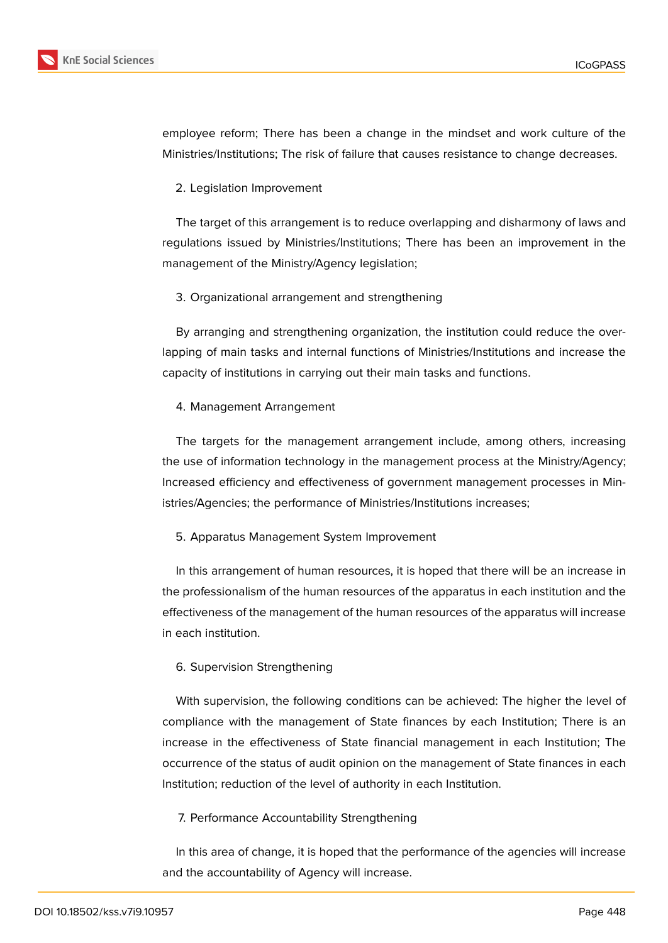

employee reform; There has been a change in the mindset and work culture of the Ministries/Institutions; The risk of failure that causes resistance to change decreases.

2. Legislation Improvement

The target of this arrangement is to reduce overlapping and disharmony of laws and regulations issued by Ministries/Institutions; There has been an improvement in the management of the Ministry/Agency legislation;

3. Organizational arrangement and strengthening

By arranging and strengthening organization, the institution could reduce the overlapping of main tasks and internal functions of Ministries/Institutions and increase the capacity of institutions in carrying out their main tasks and functions.

### 4. Management Arrangement

The targets for the management arrangement include, among others, increasing the use of information technology in the management process at the Ministry/Agency; Increased efficiency and effectiveness of government management processes in Ministries/Agencies; the performance of Ministries/Institutions increases;

### 5. Apparatus Management System Improvement

In this arrangement of human resources, it is hoped that there will be an increase in the professionalism of the human resources of the apparatus in each institution and the effectiveness of the management of the human resources of the apparatus will increase in each institution.

### 6. Supervision Strengthening

With supervision, the following conditions can be achieved: The higher the level of compliance with the management of State finances by each Institution; There is an increase in the effectiveness of State financial management in each Institution; The occurrence of the status of audit opinion on the management of State finances in each Institution; reduction of the level of authority in each Institution.

### 7. Performance Accountability Strengthening

In this area of change, it is hoped that the performance of the agencies will increase and the accountability of Agency will increase.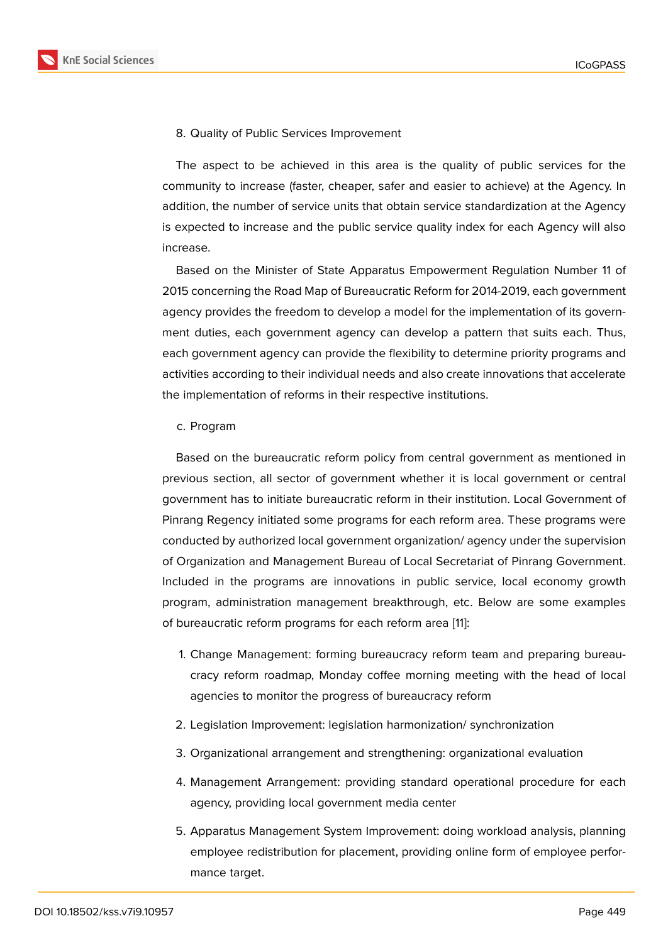8. Quality of Public Services Improvement

The aspect to be achieved in this area is the quality of public services for the community to increase (faster, cheaper, safer and easier to achieve) at the Agency. In addition, the number of service units that obtain service standardization at the Agency is expected to increase and the public service quality index for each Agency will also increase.

Based on the Minister of State Apparatus Empowerment Regulation Number 11 of 2015 concerning the Road Map of Bureaucratic Reform for 2014-2019, each government agency provides the freedom to develop a model for the implementation of its government duties, each government agency can develop a pattern that suits each. Thus, each government agency can provide the flexibility to determine priority programs and activities according to their individual needs and also create innovations that accelerate the implementation of reforms in their respective institutions.

c. Program

Based on the bureaucratic reform policy from central government as mentioned in previous section, all sector of government whether it is local government or central government has to initiate bureaucratic reform in their institution. Local Government of Pinrang Regency initiated some programs for each reform area. These programs were conducted by authorized local government organization/ agency under the supervision of Organization and Management Bureau of Local Secretariat of Pinrang Government. Included in the programs are innovations in public service, local economy growth program, administration management breakthrough, etc. Below are some examples of bureaucratic reform programs for each reform area [11]:

- 1. Change Management: forming bureaucracy reform team and preparing bureaucracy reform roadmap, Monday coffee morning [m](#page-10-9)eeting with the head of local agencies to monitor the progress of bureaucracy reform
- 2. Legislation Improvement: legislation harmonization/ synchronization
- 3. Organizational arrangement and strengthening: organizational evaluation
- 4. Management Arrangement: providing standard operational procedure for each agency, providing local government media center
- 5. Apparatus Management System Improvement: doing workload analysis, planning employee redistribution for placement, providing online form of employee performance target.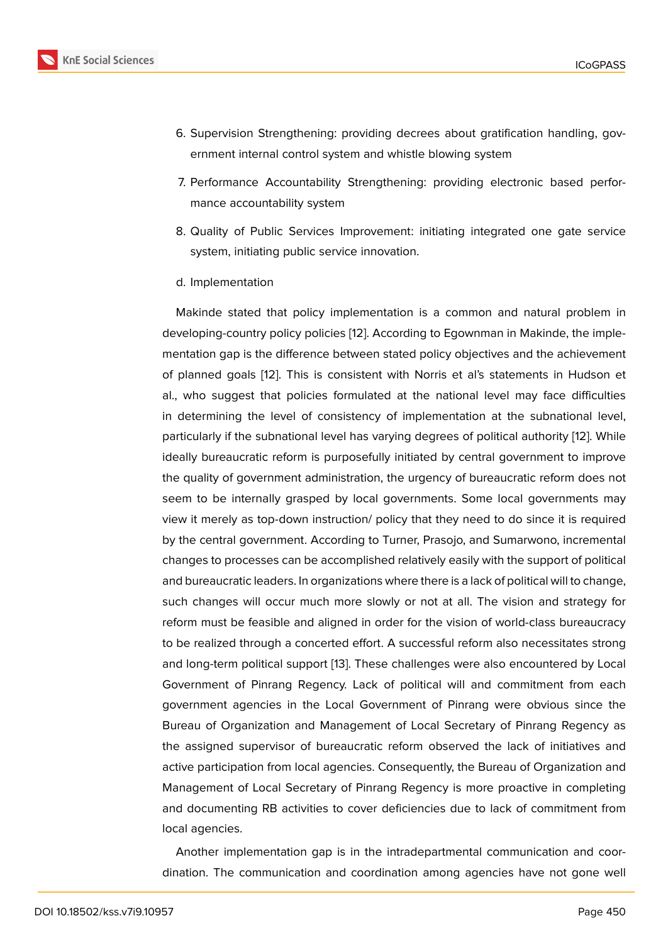- 6. Supervision Strengthening: providing decrees about gratification handling, government internal control system and whistle blowing system
- 7. Performance Accountability Strengthening: providing electronic based performance accountability system
- 8. Quality of Public Services Improvement: initiating integrated one gate service system, initiating public service innovation.
- d. Implementation

Makinde stated that policy implementation is a common and natural problem in developing-country policy policies [12]. According to Egownman in Makinde, the implementation gap is the difference between stated policy objectives and the achievement of planned goals [12]. This is consistent with Norris et al's statements in Hudson et al., who suggest that policies for[mu](#page-10-10)lated at the national level may face difficulties in determining the level of consistency of implementation at the subnational level, particularly if the s[ubn](#page-10-10)ational level has varying degrees of political authority [12]. While ideally bureaucratic reform is purposefully initiated by central government to improve the quality of government administration, the urgency of bureaucratic reform does not seem to be internally grasped by local governments. Some local govern[men](#page-10-10)ts may view it merely as top-down instruction/ policy that they need to do since it is required by the central government. According to Turner, Prasojo, and Sumarwono, incremental changes to processes can be accomplished relatively easily with the support of political and bureaucratic leaders. In organizations where there is a lack of political will to change, such changes will occur much more slowly or not at all. The vision and strategy for reform must be feasible and aligned in order for the vision of world-class bureaucracy to be realized through a concerted effort. A successful reform also necessitates strong and long-term political support [13]. These challenges were also encountered by Local Government of Pinrang Regency. Lack of political will and commitment from each government agencies in the Local Government of Pinrang were obvious since the Bureau of Organization and M[ana](#page-10-11)gement of Local Secretary of Pinrang Regency as the assigned supervisor of bureaucratic reform observed the lack of initiatives and active participation from local agencies. Consequently, the Bureau of Organization and Management of Local Secretary of Pinrang Regency is more proactive in completing and documenting RB activities to cover deficiencies due to lack of commitment from local agencies.

Another implementation gap is in the intradepartmental communication and coordination. The communication and coordination among agencies have not gone well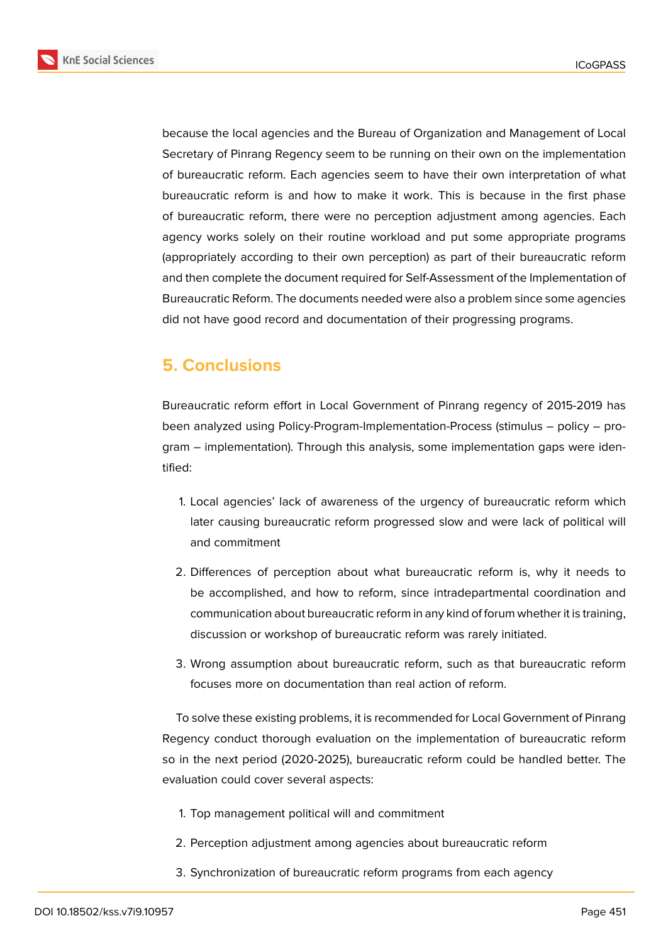



because the local agencies and the Bureau of Organization and Management of Local Secretary of Pinrang Regency seem to be running on their own on the implementation of bureaucratic reform. Each agencies seem to have their own interpretation of what bureaucratic reform is and how to make it work. This is because in the first phase of bureaucratic reform, there were no perception adjustment among agencies. Each agency works solely on their routine workload and put some appropriate programs (appropriately according to their own perception) as part of their bureaucratic reform and then complete the document required for Self-Assessment of the Implementation of Bureaucratic Reform. The documents needed were also a problem since some agencies did not have good record and documentation of their progressing programs.

## **5. Conclusions**

Bureaucratic reform effort in Local Government of Pinrang regency of 2015-2019 has been analyzed using Policy-Program-Implementation-Process (stimulus – policy – program – implementation). Through this analysis, some implementation gaps were identified:

- 1. Local agencies' lack of awareness of the urgency of bureaucratic reform which later causing bureaucratic reform progressed slow and were lack of political will and commitment
- 2. Differences of perception about what bureaucratic reform is, why it needs to be accomplished, and how to reform, since intradepartmental coordination and communication about bureaucratic reform in any kind of forum whether it is training, discussion or workshop of bureaucratic reform was rarely initiated.
- 3. Wrong assumption about bureaucratic reform, such as that bureaucratic reform focuses more on documentation than real action of reform.

To solve these existing problems, it is recommended for Local Government of Pinrang Regency conduct thorough evaluation on the implementation of bureaucratic reform so in the next period (2020-2025), bureaucratic reform could be handled better. The evaluation could cover several aspects:

- 1. Top management political will and commitment
- 2. Perception adjustment among agencies about bureaucratic reform
- 3. Synchronization of bureaucratic reform programs from each agency